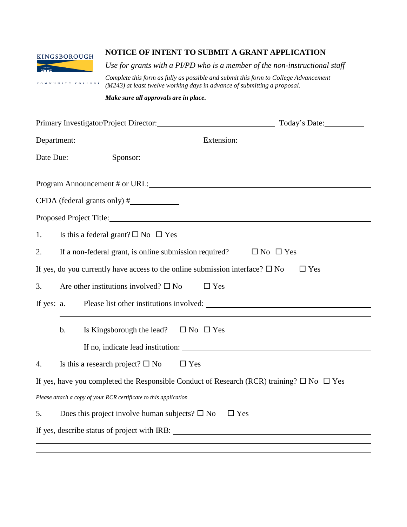

COMMUNITY COLLEGE

## **NOTICE OF INTENT TO SUBMIT A GRANT APPLICATION**

*Use for grants with a PI/PD who is a member of the non-instructional staff*

*Complete this form as fully as possible and submit this form to College Advancement (M243) at least twelve working days in advance of submitting a proposal.*

*Make sure all approvals are in place.*

|            |       |                                                                                       | Today's Date:                                                                                             |
|------------|-------|---------------------------------------------------------------------------------------|-----------------------------------------------------------------------------------------------------------|
|            |       |                                                                                       | Department: Extension: Extension:                                                                         |
|            |       |                                                                                       | Date Due: Sponsor: Sponsor:                                                                               |
|            |       |                                                                                       | Program Announcement # or URL:                                                                            |
|            |       |                                                                                       |                                                                                                           |
|            |       | Proposed Project Title: Manual According to the Contract of Proposed Project Title:   |                                                                                                           |
| 1.         |       | Is this a federal grant? $\square$ No $\square$ Yes                                   |                                                                                                           |
| 2.         |       | If a non-federal grant, is online submission required?                                | $\Box$ No $\Box$ Yes                                                                                      |
|            |       | If yes, do you currently have access to the online submission interface? $\square$ No | $\Box$ Yes                                                                                                |
| 3.         |       | Are other institutions involved? $\square$ No                                         | $\Box$ Yes                                                                                                |
| If yes: a. |       |                                                                                       |                                                                                                           |
|            | $b$ . | Is Kingsborough the lead? $\square$ No $\square$ Yes                                  |                                                                                                           |
|            |       |                                                                                       |                                                                                                           |
| 4.         |       | $\Box$ Yes<br>Is this a research project? $\square$ No                                |                                                                                                           |
|            |       |                                                                                       | If yes, have you completed the Responsible Conduct of Research (RCR) training? $\square$ No $\square$ Yes |
|            |       | Please attach a copy of your RCR certificate to this application                      |                                                                                                           |
| 5.         |       | Does this project involve human subjects? $\square$ No                                | $\Box$ Yes                                                                                                |
|            |       |                                                                                       |                                                                                                           |
|            |       |                                                                                       |                                                                                                           |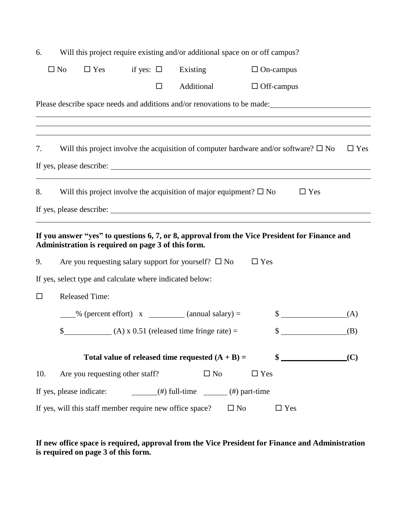| 6.                                                                                                                                                                                                                                                                                                                                                                                                                                               | Will this project require existing and/or additional space on or off campus?             |                                 |                |                                                                    |                                                                                                            |  |  |  |
|--------------------------------------------------------------------------------------------------------------------------------------------------------------------------------------------------------------------------------------------------------------------------------------------------------------------------------------------------------------------------------------------------------------------------------------------------|------------------------------------------------------------------------------------------|---------------------------------|----------------|--------------------------------------------------------------------|------------------------------------------------------------------------------------------------------------|--|--|--|
|                                                                                                                                                                                                                                                                                                                                                                                                                                                  | $\square$ No                                                                             | $\Box$ Yes                      | if yes: $\Box$ | Existing                                                           | $\Box$ On-campus                                                                                           |  |  |  |
|                                                                                                                                                                                                                                                                                                                                                                                                                                                  |                                                                                          |                                 | □              | Additional                                                         | $\Box$ Off-campus                                                                                          |  |  |  |
| Please describe space needs and additions and/or renovations to be made:<br>,我们也不会有什么。""我们的人,我们也不会有什么?""我们的人,我们也不会有什么?""我们的人,我们也不会有什么?""我们的人,我们也不会有什么?""我们的人                                                                                                                                                                                                                                                                                     |                                                                                          |                                 |                |                                                                    |                                                                                                            |  |  |  |
| 7.                                                                                                                                                                                                                                                                                                                                                                                                                                               |                                                                                          |                                 |                |                                                                    | Will this project involve the acquisition of computer hardware and/or software? $\square$ No<br>$\Box$ Yes |  |  |  |
|                                                                                                                                                                                                                                                                                                                                                                                                                                                  |                                                                                          |                                 |                |                                                                    |                                                                                                            |  |  |  |
| 8.                                                                                                                                                                                                                                                                                                                                                                                                                                               | Will this project involve the acquisition of major equipment? $\square$ No<br>$\Box$ Yes |                                 |                |                                                                    |                                                                                                            |  |  |  |
| If you answer "yes" to questions 6, 7, or 8, approval from the Vice President for Finance and<br>Administration is required on page 3 of this form.                                                                                                                                                                                                                                                                                              |                                                                                          |                                 |                |                                                                    |                                                                                                            |  |  |  |
| 9.                                                                                                                                                                                                                                                                                                                                                                                                                                               |                                                                                          |                                 |                | Are you requesting salary support for yourself? $\square$ No       | $\Box$ Yes                                                                                                 |  |  |  |
| If yes, select type and calculate where indicated below:                                                                                                                                                                                                                                                                                                                                                                                         |                                                                                          |                                 |                |                                                                    |                                                                                                            |  |  |  |
| □                                                                                                                                                                                                                                                                                                                                                                                                                                                |                                                                                          | <b>Released Time:</b>           |                |                                                                    |                                                                                                            |  |  |  |
|                                                                                                                                                                                                                                                                                                                                                                                                                                                  |                                                                                          |                                 |                | $\frac{1}{2}$ % (percent effort) x $\frac{1}{2}$ (annual salary) = | $\frac{\text{S}}{\text{S}}$<br>(A)                                                                         |  |  |  |
|                                                                                                                                                                                                                                                                                                                                                                                                                                                  | \$                                                                                       |                                 |                | $(A) \times 0.51$ (released time fringe rate) =                    | (B)<br>\$                                                                                                  |  |  |  |
|                                                                                                                                                                                                                                                                                                                                                                                                                                                  |                                                                                          |                                 |                | Total value of released time requested $(A + B) =$                 | $\frac{1}{2}$<br>(C)                                                                                       |  |  |  |
| 10.                                                                                                                                                                                                                                                                                                                                                                                                                                              |                                                                                          | Are you requesting other staff? |                | $\square$ No                                                       | $\Box$ Yes                                                                                                 |  |  |  |
| If yes, please indicate:<br>$\frac{1}{\sqrt{1-\frac{1}{2}}\sqrt{1-\frac{1}{2}}\sqrt{1-\frac{1}{2}}\sqrt{1-\frac{1}{2}}\sqrt{1-\frac{1}{2}}\sqrt{1-\frac{1}{2}}\sqrt{1-\frac{1}{2}}\sqrt{1-\frac{1}{2}}\sqrt{1-\frac{1}{2}}\sqrt{1-\frac{1}{2}}\sqrt{1-\frac{1}{2}}\sqrt{1-\frac{1}{2}}\sqrt{1-\frac{1}{2}}\sqrt{1-\frac{1}{2}}\sqrt{1-\frac{1}{2}}\sqrt{1-\frac{1}{2}}\sqrt{1-\frac{1}{2}}\sqrt{1-\frac{1}{2}}\sqrt{1-\frac{1}{2}}\sqrt{1-\frac$ |                                                                                          |                                 |                |                                                                    |                                                                                                            |  |  |  |
| If yes, will this staff member require new office space?<br>$\square$ No<br>$\Box$ Yes                                                                                                                                                                                                                                                                                                                                                           |                                                                                          |                                 |                |                                                                    |                                                                                                            |  |  |  |

**If new office space is required, approval from the Vice President for Finance and Administration is required on page 3 of this form.**